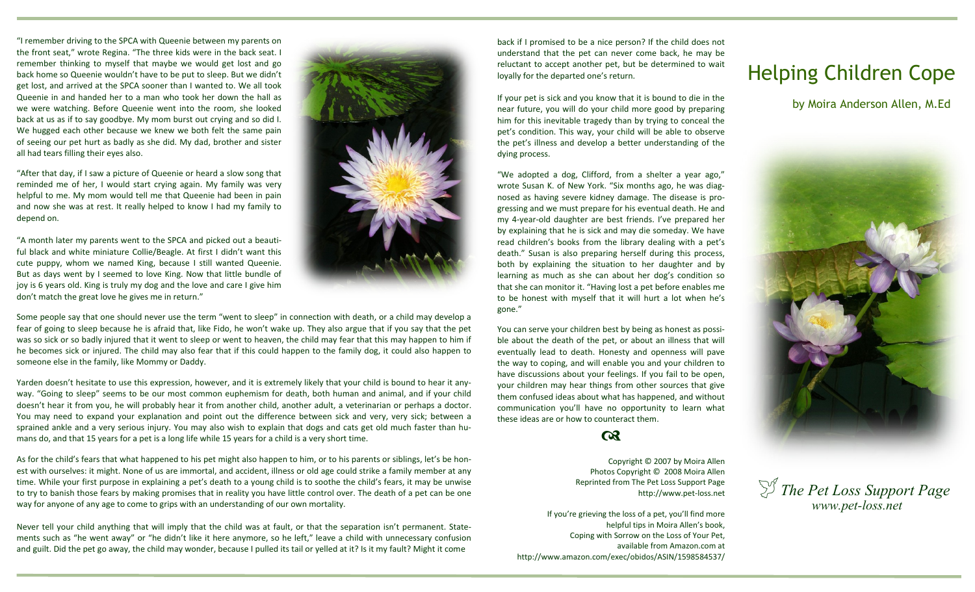"I remember driving to the SPCA with Queenie between my parents on the front seat," wrote Regina. "The three kids were in the back seat. I remember thinking to myself that maybe we would get lost and go back home so Queenie wouldn't have to be put to sleep. But we didn't get lost, and arrived at the SPCA sooner than I wanted to. We all took Queenie in and handed her to a man who took her down the hall as we were watching. Before Queenie went into the room, she looked back at us as if to say goodbye. My mom burst out crying and so did I. We hugged each other because we knew we both felt the same pain of seeing our pet hurt as badly as she did. My dad, brother and sister all had tears filling their eyes also.

"After that day, if I saw a picture of Queenie or heard a slow song that reminded me of her, I would start crying again. My family was very helpful to me. My mom would tell me that Queenie had been in pain and now she was at rest. It really helped to know I had my family to depend on.

"A month later my parents went to the SPCA and picked out a beautiful black and white miniature Collie/Beagle. At first I didn't want this cute puppy, whom we named King, because I still wanted Queenie. But as days went by I seemed to love King. Now that little bundle of joy is 6 years old. King is truly my dog and the love and care I give him don't match the great love he gives me in return."

Some people say that one should never use the term "went to sleep" in connection with death, or a child may develop a fear of going to sleep because he is afraid that, like Fido, he won't wake up. They also argue that if you say that the pet was so sick or so badly injured that it went to sleep or went to heaven, the child may fear that this may happen to him if he becomes sick or injured. The child may also fear that if this could happen to the family dog, it could also happen to someone else in the family, like Mommy or Daddy.

Yarden doesn't hesitate to use this expression, however, and it is extremely likely that your child is bound to hear it anyway. "Going to sleep" seems to be our most common euphemism for death, both human and animal, and if your child doesn't hear it from you, he will probably hear it from another child, another adult, a veterinarian or perhaps a doctor. You may need to expand your explanation and point out the difference between sick and very, very sick; between a sprained ankle and a very serious injury. You may also wish to explain that dogs and cats get old much faster than humans do, and that 15 years for a pet is a long life while 15 years for a child is a very short time.

As for the child's fears that what happened to his pet might also happen to him, or to his parents or siblings, let's be honest with ourselves: it might. None of us are immortal, and accident, illness or old age could strike a family member at any time. While your first purpose in explaining a pet's death to a young child is to soothe the child's fears, it may be unwise to try to banish those fears by making promises that in reality you have little control over. The death of a pet can be one way for anyone of any age to come to grips with an understanding of our own mortality.

Never tell your child anything that will imply that the child was at fault, or that the separation isn't permanent. Statements such as "he went away" or "he didn't like it here anymore, so he left," leave a child with unnecessary confusion and guilt. Did the pet go away, the child may wonder, because I pulled its tail or yelled at it? Is it my fault? Might it come

back if I promised to be a nice person? If the child does not understand that the pet can never come back, he may be reluctant to accept another pet, but be determined to wait loyally for the departed one's return.

If your pet is sick and you know that it is bound to die in the near future, you will do your child more good by preparing him for this inevitable tragedy than by trying to conceal the pet's condition. This way, your child will be able to observe the pet's illness and develop a better understanding of the dying process.

"We adopted a dog, Clifford, from a shelter a year ago," wrote Susan K. of New York. "Six months ago, he was diagnosed as having severe kidney damage. The disease is progressing and we must prepare for his eventual death. He and my 4-year-old daughter are best friends. I've prepared her by explaining that he is sick and may die someday. We have read children's books from the library dealing with a pet's death." Susan is also preparing herself during this process, both by explaining the situation to her daughter and by learning as much as she can about her dog's condition so that she can monitor it. "Having lost a pet before enables me to be honest with myself that it will hurt a lot when he's gone."

You can serve your children best by being as honest as possible about the death of the pet, or about an illness that will eventually lead to death. Honesty and openness will pave the way to coping, and will enable you and your children to have discussions about your feelings. If you fail to be open, your children may hear things from other sources that give them confused ideas about what has happened, and without communication you'll have no opportunity to learn what these ideas are or how to counteract them.



Copyright © 2007 by Moira Allen Photos Copyright © 2008 Moira Allen Reprinted from The Pet Loss Support Page http://www.pet-loss.net

If you're grieving the loss of a pet, you'll find more helpful tips in Moira Allen's book, Coping with Sorrow on the Loss of Your Pet, available from Amazon.com at http://www.amazon.com/exec/obidos/ASIN/1598584537/

## Helping Children Cope

by Moira Anderson Allen, M.Ed



*The Pet Loss Support Page www.pet-loss.net*